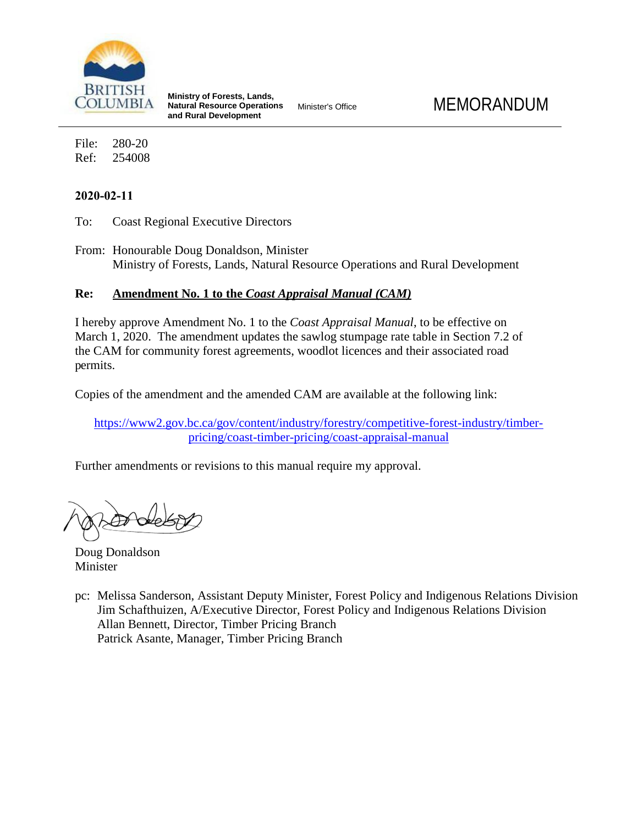

**Ministry of Forests, Lands, Natural Resource Operations and Rural Development**

File: 280-20 Ref: 254008

## **2020-02-11**

To: Coast Regional Executive Directors

From: Honourable Doug Donaldson, Minister Ministry of Forests, Lands, Natural Resource Operations and Rural Development

## **Re: Amendment No. 1 to the** *Coast Appraisal Manual (CAM)*

I hereby approve Amendment No. 1 to the *Coast Appraisal Manual*, to be effective on March 1, 2020. The amendment updates the sawlog stumpage rate table in Section 7.2 of the CAM for community forest agreements, woodlot licences and their associated road permits.

Copies of the amendment and the amended CAM are available at the following link:

[https://www2.gov.bc.ca/gov/content/industry/forestry/competitive-forest-industry/timber](https://www2.gov.bc.ca/gov/content/industry/forestry/competitive-forest-industry/timber-pricing/coast-timber-pricing/coast-appraisal-manual)[pricing/coast-timber-pricing/coast-appraisal-manual](https://www2.gov.bc.ca/gov/content/industry/forestry/competitive-forest-industry/timber-pricing/coast-timber-pricing/coast-appraisal-manual)

Further amendments or revisions to this manual require my approval.

Doug Donaldson Minister

pc: Melissa Sanderson, Assistant Deputy Minister, Forest Policy and Indigenous Relations Division Jim Schafthuizen, A/Executive Director, Forest Policy and Indigenous Relations Division Allan Bennett, Director, Timber Pricing Branch Patrick Asante, Manager, Timber Pricing Branch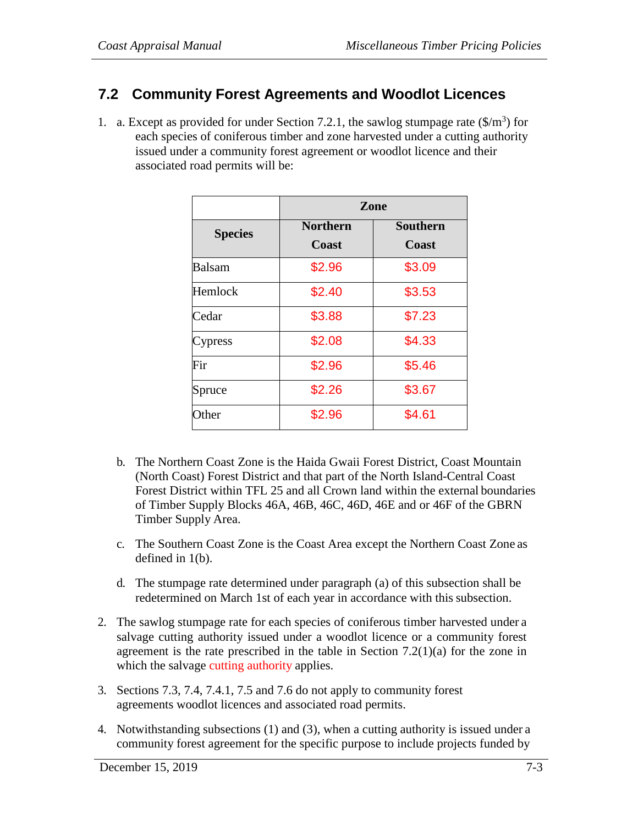## **7.2 Community Forest Agreements and Woodlot Licences**

1. a. Except as provided for under Section 7.2.1, the sawlog stumpage rate  $(\frac{1}{2})^3$  for each species of coniferous timber and zone harvested under a cutting authority issued under a community forest agreement or woodlot licence and their associated road permits will be:

|                | Zone                     |                          |
|----------------|--------------------------|--------------------------|
| <b>Species</b> | <b>Northern</b><br>Coast | <b>Southern</b><br>Coast |
| Balsam         | \$2.96                   | \$3.09                   |
| Hemlock        | \$2.40                   | \$3.53                   |
| Cedar          | \$3.88                   | \$7.23                   |
| Cypress        | \$2.08                   | \$4.33                   |
| Fir            | \$2.96                   | \$5.46                   |
| Spruce         | \$2.26                   | \$3.67                   |
| Other          | \$2.96                   | \$4.61                   |

- b. The Northern Coast Zone is the Haida Gwaii Forest District, Coast Mountain (North Coast) Forest District and that part of the North Island-Central Coast Forest District within TFL 25 and all Crown land within the external boundaries of Timber Supply Blocks 46A, 46B, 46C, 46D, 46E and or 46F of the GBRN Timber Supply Area.
- c. The Southern Coast Zone is the Coast Area except the Northern Coast Zone as defined in 1(b).
- d. The stumpage rate determined under paragraph (a) of this subsection shall be redetermined on March 1st of each year in accordance with this subsection.
- 2. The sawlog stumpage rate for each species of coniferous timber harvested under a salvage cutting authority issued under a woodlot licence or a community forest agreement is the rate prescribed in the table in Section 7.2(1)(a) for the zone in which the salvage cutting authority applies.
- 3. Sections 7.3, 7.4, 7.4.1, 7.5 and 7.6 do not apply to community forest agreements woodlot licences and associated road permits.
- 4. Notwithstanding subsections (1) and (3), when a cutting authority is issued under a community forest agreement for the specific purpose to include projects funded by